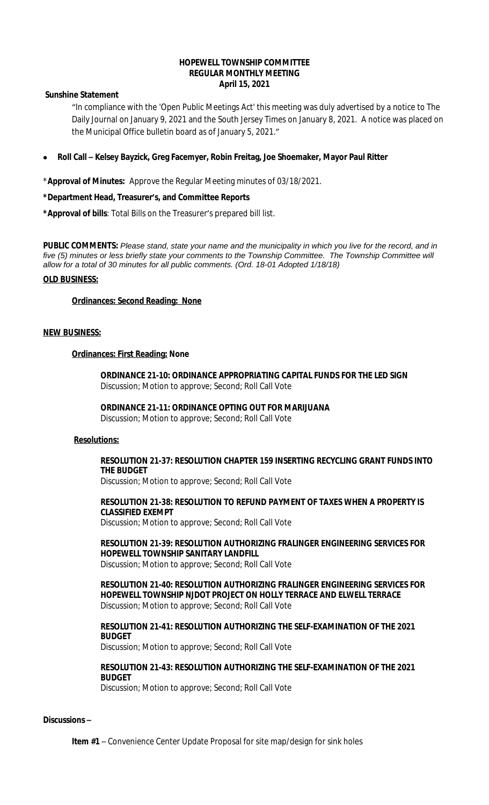#### **HOPEWELL TOWNSHIP COMMITTEE REGULAR MONTHLY MEETING April 15, 2021**

## **Sunshine Statement**

"In compliance with the 'Open Public Meetings Act' this meeting was duly advertised by a notice to The Daily Journal on January 9, 2021 and the South Jersey Times on January 8, 2021. A notice was placed on the Municipal Office bulletin board as of January 5, 2021."

**Roll Call – Kelsey Bayzick, Greg Facemyer, Robin Freitag, Joe Shoemaker, Mayor Paul Ritter**

\***Approval of Minutes:** Approve the Regular Meeting minutes of 03/18/2021.

## **\*Department Head, Treasurer's, and Committee Reports**

**\*Approval of bills**: Total Bills on the Treasurer's prepared bill list.

**PUBLIC COMMENTS:** *Please stand, state your name and the municipality in which you live for the record, and in five (5) minutes or less briefly state your comments to the Township Committee. The Township Committee will allow for a total of 30 minutes for all public comments. (Ord. 18-01 Adopted 1/18/18)*

#### **OLD BUSINESS:**

#### **Ordinances: Second Reading: None**

#### **NEW BUSINESS:**

#### **Ordinances: First Reading: None**

**ORDINANCE 21-10: ORDINANCE APPROPRIATING CAPITAL FUNDS FOR THE LED SIGN** Discussion; Motion to approve; Second; Roll Call Vote

#### **ORDINANCE 21-11: ORDINANCE OPTING OUT FOR MARIJUANA**

Discussion; Motion to approve; Second; Roll Call Vote

#### **Resolutions:**

## **RESOLUTION 21-37: RESOLUTION CHAPTER 159 INSERTING RECYCLING GRANT FUNDS INTO THE BUDGET**

Discussion; Motion to approve; Second; Roll Call Vote

# **RESOLUTION 21-38: RESOLUTION TO REFUND PAYMENT OF TAXES WHEN A PROPERTY IS CLASSIFIED EXEMPT**

Discussion; Motion to approve; Second; Roll Call Vote

# **RESOLUTION 21-39: RESOLUTION AUTHORIZING FRALINGER ENGINEERING SERVICES FOR HOPEWELL TOWNSHIP SANITARY LANDFILL**

Discussion; Motion to approve; Second; Roll Call Vote

**RESOLUTION 21-40: RESOLUTION AUTHORIZING FRALINGER ENGINEERING SERVICES FOR HOPEWELL TOWNSHIP NJDOT PROJECT ON HOLLY TERRACE AND ELWELL TERRACE** Discussion; Motion to approve; Second; Roll Call Vote

## **RESOLUTION 21-41: RESOLUTION AUTHORIZING THE SELF-EXAMINATION OF THE 2021 BUDGET**

Discussion; Motion to approve; Second; Roll Call Vote

## **RESOLUTION 21-43: RESOLUTION AUTHORIZING THE SELF-EXAMINATION OF THE 2021 BUDGET**

Discussion; Motion to approve; Second; Roll Call Vote

#### **Discussions –**

**Item #1** – Convenience Center Update Proposal for site map/design for sink holes